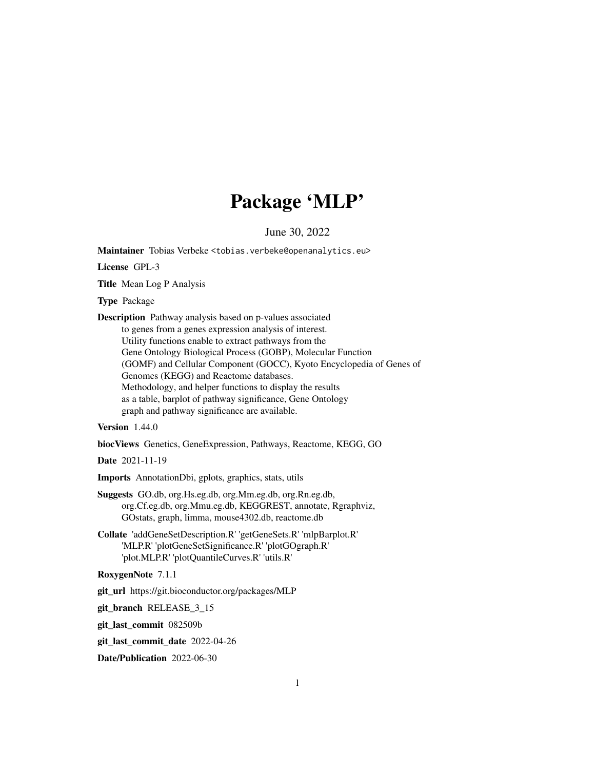# Package 'MLP'

June 30, 2022

Maintainer Tobias Verbeke <tobias.verbeke@openanalytics.eu>

License GPL-3

Title Mean Log P Analysis

Type Package

Description Pathway analysis based on p-values associated to genes from a genes expression analysis of interest. Utility functions enable to extract pathways from the Gene Ontology Biological Process (GOBP), Molecular Function (GOMF) and Cellular Component (GOCC), Kyoto Encyclopedia of Genes of Genomes (KEGG) and Reactome databases. Methodology, and helper functions to display the results as a table, barplot of pathway significance, Gene Ontology graph and pathway significance are available.

Version 1.44.0

biocViews Genetics, GeneExpression, Pathways, Reactome, KEGG, GO

Date 2021-11-19

Imports AnnotationDbi, gplots, graphics, stats, utils

- Suggests GO.db, org.Hs.eg.db, org.Mm.eg.db, org.Rn.eg.db, org.Cf.eg.db, org.Mmu.eg.db, KEGGREST, annotate, Rgraphviz, GOstats, graph, limma, mouse4302.db, reactome.db
- Collate 'addGeneSetDescription.R' 'getGeneSets.R' 'mlpBarplot.R' 'MLP.R' 'plotGeneSetSignificance.R' 'plotGOgraph.R' 'plot.MLP.R' 'plotQuantileCurves.R' 'utils.R'

RoxygenNote 7.1.1

git\_url https://git.bioconductor.org/packages/MLP

git\_branch RELEASE\_3\_15

git\_last\_commit 082509b

git\_last\_commit\_date 2022-04-26

Date/Publication 2022-06-30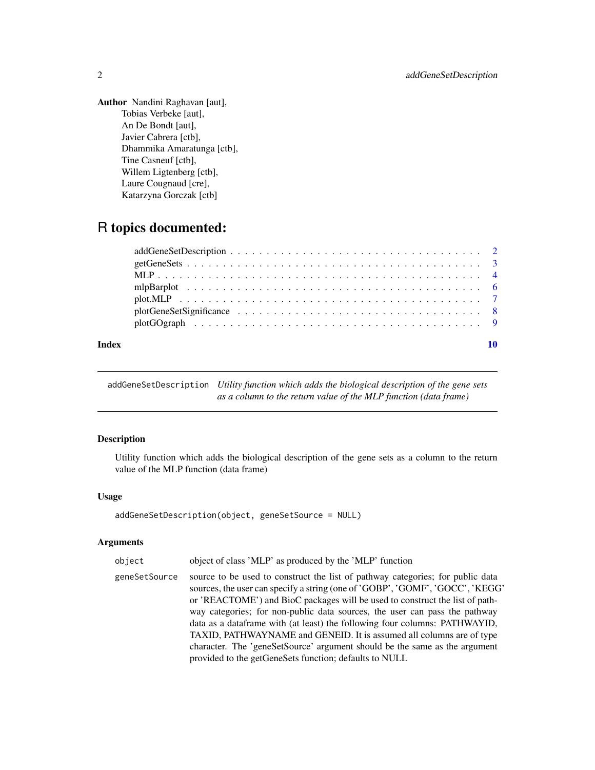<span id="page-1-0"></span>Author Nandini Raghavan [aut], Tobias Verbeke [aut], An De Bondt [aut], Javier Cabrera [ctb], Dhammika Amaratunga [ctb], Tine Casneuf [ctb], Willem Ligtenberg [ctb], Laure Cougnaud [cre], Katarzyna Gorczak [ctb]

# R topics documented:

| Index |  |
|-------|--|

addGeneSetDescription *Utility function which adds the biological description of the gene sets as a column to the return value of the MLP function (data frame)*

# Description

Utility function which adds the biological description of the gene sets as a column to the return value of the MLP function (data frame)

# Usage

```
addGeneSetDescription(object, geneSetSource = NULL)
```
### Arguments

| object        | object of class 'MLP' as produced by the 'MLP' function                                                                                                                                                                                                                                                                                                                                                                                                                                                                                                                                                                     |
|---------------|-----------------------------------------------------------------------------------------------------------------------------------------------------------------------------------------------------------------------------------------------------------------------------------------------------------------------------------------------------------------------------------------------------------------------------------------------------------------------------------------------------------------------------------------------------------------------------------------------------------------------------|
| geneSetSource | source to be used to construct the list of pathway categories; for public data<br>sources, the user can specify a string (one of 'GOBP', 'GOMF', 'GOCC', 'KEGG'<br>or 'REACTOME') and BioC packages will be used to construct the list of path-<br>way categories; for non-public data sources, the user can pass the pathway<br>data as a dataframe with (at least) the following four columns: PATHWAYID,<br>TAXID, PATHWAYNAME and GENEID. It is assumed all columns are of type<br>character. The 'geneSetSource' argument should be the same as the argument<br>provided to the getGeneSets function; defaults to NULL |
|               |                                                                                                                                                                                                                                                                                                                                                                                                                                                                                                                                                                                                                             |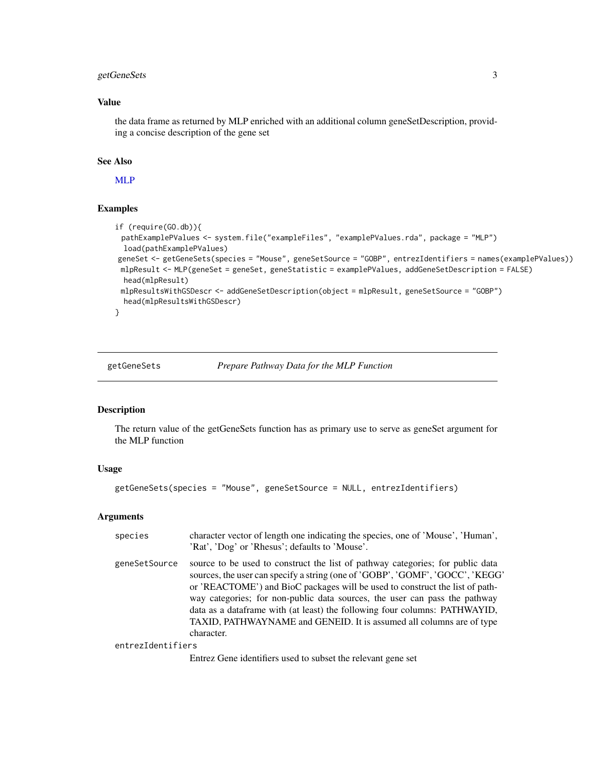# <span id="page-2-0"></span>getGeneSets 3

# Value

the data frame as returned by MLP enriched with an additional column geneSetDescription, providing a concise description of the gene set

#### See Also

[MLP](#page-3-1)

# Examples

```
if (require(GO.db)){
 pathExamplePValues <- system.file("exampleFiles", "examplePValues.rda", package = "MLP")
 load(pathExamplePValues)
geneSet <- getGeneSets(species = "Mouse", geneSetSource = "GOBP", entrezIdentifiers = names(examplePValues))
 mlpResult <- MLP(geneSet = geneSet, geneStatistic = examplePValues, addGeneSetDescription = FALSE)
 head(mlpResult)
 mlpResultsWithGSDescr <- addGeneSetDescription(object = mlpResult, geneSetSource = "GOBP")
 head(mlpResultsWithGSDescr)
}
```
#### <span id="page-2-1"></span>getGeneSets *Prepare Pathway Data for the MLP Function*

#### Description

The return value of the getGeneSets function has as primary use to serve as geneSet argument for the MLP function

#### Usage

```
getGeneSets(species = "Mouse", geneSetSource = NULL, entrezIdentifiers)
```
#### **Arguments**

| species           | character vector of length one indicating the species, one of 'Mouse', 'Human',<br>'Rat', 'Dog' or 'Rhesus'; defaults to 'Mouse'.                                                                                                                                                                                                                                                                                                                                                                 |
|-------------------|---------------------------------------------------------------------------------------------------------------------------------------------------------------------------------------------------------------------------------------------------------------------------------------------------------------------------------------------------------------------------------------------------------------------------------------------------------------------------------------------------|
| geneSetSource     | source to be used to construct the list of pathway categories; for public data<br>sources, the user can specify a string (one of 'GOBP', 'GOMF', 'GOCC', 'KEGG'<br>or 'REACTOME') and BioC packages will be used to construct the list of path-<br>way categories; for non-public data sources, the user can pass the pathway<br>data as a dataframe with (at least) the following four columns: PATHWAYID,<br>TAXID, PATHWAYNAME and GENEID. It is assumed all columns are of type<br>character. |
| entrezIdentifiers |                                                                                                                                                                                                                                                                                                                                                                                                                                                                                                   |

Entrez Gene identifiers used to subset the relevant gene set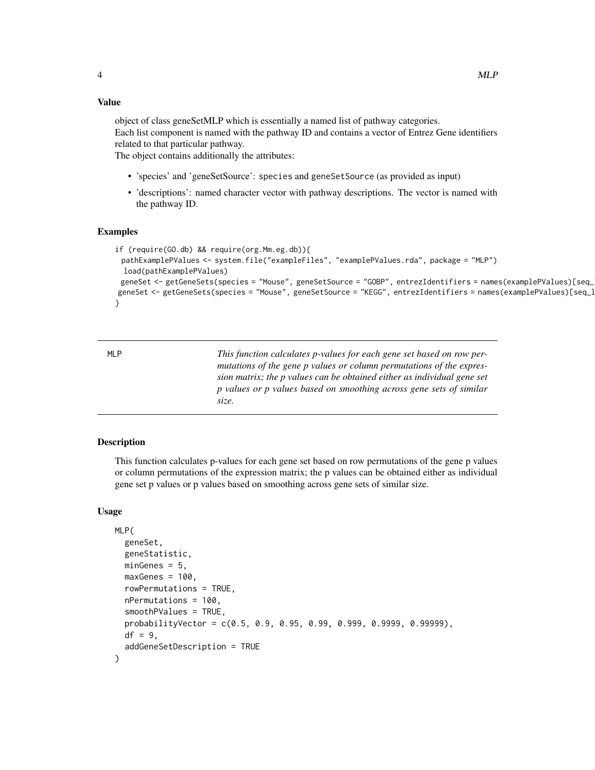#### <span id="page-3-0"></span>Value

object of class geneSetMLP which is essentially a named list of pathway categories. Each list component is named with the pathway ID and contains a vector of Entrez Gene identifiers related to that particular pathway.

The object contains additionally the attributes:

- 'species' and 'geneSetSource': species and geneSetSource (as provided as input)
- 'descriptions': named character vector with pathway descriptions. The vector is named with the pathway ID.

#### Examples

```
if (require(GO.db) && require(org.Mm.eg.db)){
 pathExamplePValues <- system.file("exampleFiles", "examplePValues.rda", package = "MLP")
 load(pathExamplePValues)
 geneSet <- getGeneSets(species = "Mouse", geneSetSource = "GOBP", entrezIdentifiers = names(examplePValues)[seq_
geneSet <- getGeneSets(species = "Mouse", geneSetSource = "KEGG", entrezIdentifiers = names(examplePValues)[seq_1
}
```
<span id="page-3-1"></span>MLP *This function calculates p-values for each gene set based on row permutations of the gene p values or column permutations of the expression matrix; the p values can be obtained either as individual gene set p values or p values based on smoothing across gene sets of similar size.*

#### Description

This function calculates p-values for each gene set based on row permutations of the gene p values or column permutations of the expression matrix; the p values can be obtained either as individual gene set p values or p values based on smoothing across gene sets of similar size.

#### Usage

```
MLP(
  geneSet,
  geneStatistic,
 minGenes = 5,
  maxGenes = 100,
  rowPermutations = TRUE,
  nPermutations = 100,
  smoothPValues = TRUE,
  probabilityVector = c(0.5, 0.9, 0.95, 0.99, 0.999, 0.9999, 0.99999),
 df = 9,
  addGeneSetDescription = TRUE
)
```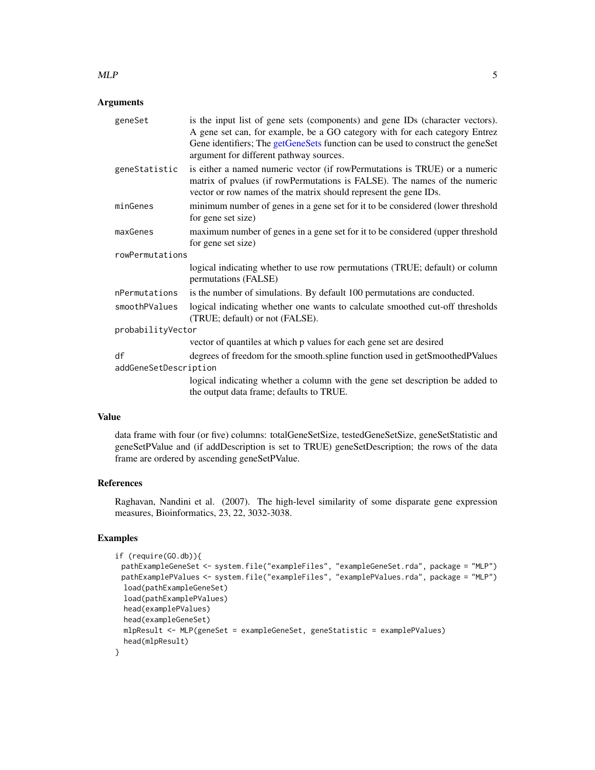#### <span id="page-4-0"></span> $MLP$  5

# Arguments

| geneSet               | is the input list of gene sets (components) and gene IDs (character vectors).<br>A gene set can, for example, be a GO category with for each category Entrez<br>Gene identifiers; The getGeneSets function can be used to construct the geneSet<br>argument for different pathway sources. |
|-----------------------|--------------------------------------------------------------------------------------------------------------------------------------------------------------------------------------------------------------------------------------------------------------------------------------------|
| geneStatistic         | is either a named numeric vector (if rowPermutations is TRUE) or a numeric<br>matrix of pvalues (if rowPermutations is FALSE). The names of the numeric<br>vector or row names of the matrix should represent the gene IDs.                                                                |
| minGenes              | minimum number of genes in a gene set for it to be considered (lower threshold<br>for gene set size)                                                                                                                                                                                       |
| maxGenes              | maximum number of genes in a gene set for it to be considered (upper threshold<br>for gene set size)                                                                                                                                                                                       |
| rowPermutations       |                                                                                                                                                                                                                                                                                            |
|                       | logical indicating whether to use row permutations (TRUE; default) or column<br>permutations (FALSE)                                                                                                                                                                                       |
| nPermutations         | is the number of simulations. By default 100 permutations are conducted.                                                                                                                                                                                                                   |
| smoothPValues         | logical indicating whether one wants to calculate smoothed cut-off thresholds<br>(TRUE; default) or not (FALSE).                                                                                                                                                                           |
| probabilityVector     |                                                                                                                                                                                                                                                                                            |
|                       | vector of quantiles at which p values for each gene set are desired                                                                                                                                                                                                                        |
| df                    | degrees of freedom for the smooth.spline function used in getSmoothedPValues                                                                                                                                                                                                               |
| addGeneSetDescription |                                                                                                                                                                                                                                                                                            |
|                       | logical indicating whether a column with the gene set description be added to<br>the output data frame; defaults to TRUE.                                                                                                                                                                  |

# Value

data frame with four (or five) columns: totalGeneSetSize, testedGeneSetSize, geneSetStatistic and geneSetPValue and (if addDescription is set to TRUE) geneSetDescription; the rows of the data frame are ordered by ascending geneSetPValue.

### References

Raghavan, Nandini et al. (2007). The high-level similarity of some disparate gene expression measures, Bioinformatics, 23, 22, 3032-3038.

```
if (require(GO.db)){
 pathExampleGeneSet <- system.file("exampleFiles", "exampleGeneSet.rda", package = "MLP")
 pathExamplePValues <- system.file("exampleFiles", "examplePValues.rda", package = "MLP")
 load(pathExampleGeneSet)
 load(pathExamplePValues)
 head(examplePValues)
 head(exampleGeneSet)
 mlpResult <- MLP(geneSet = exampleGeneSet, geneStatistic = examplePValues)
 head(mlpResult)
}
```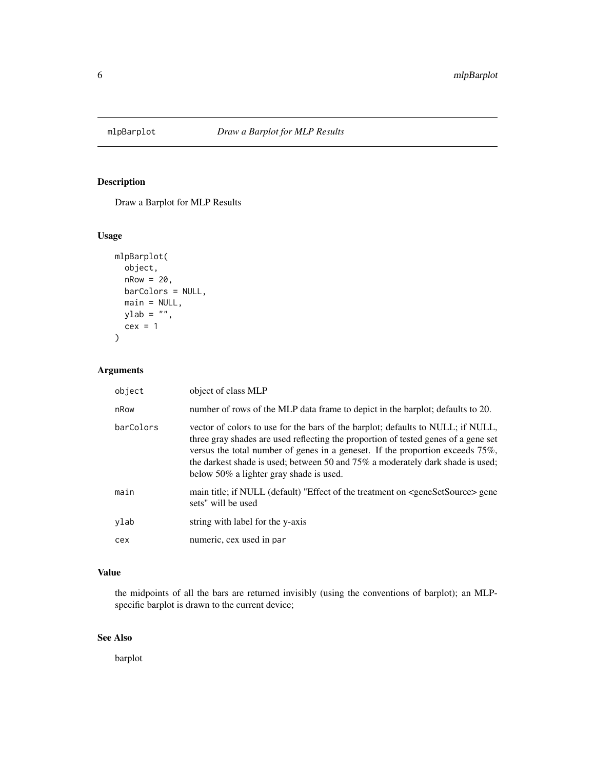<span id="page-5-0"></span>

# Description

Draw a Barplot for MLP Results

# Usage

```
mlpBarplot(
  object,
  nRow = 20,
  barColors = NULL,
  main = NULL,
  ylab = "",
  cex = 1\mathcal{L}
```
# Arguments

| object    | object of class MLP                                                                                                                                                                                                                                                                                                                                                                    |
|-----------|----------------------------------------------------------------------------------------------------------------------------------------------------------------------------------------------------------------------------------------------------------------------------------------------------------------------------------------------------------------------------------------|
| nRow      | number of rows of the MLP data frame to depict in the barplot; defaults to 20.                                                                                                                                                                                                                                                                                                         |
| barColors | vector of colors to use for the bars of the barplot; defaults to NULL; if NULL,<br>three gray shades are used reflecting the proportion of tested genes of a gene set<br>versus the total number of genes in a geneset. If the proportion exceeds 75%,<br>the darkest shade is used; between 50 and $75\%$ a moderately dark shade is used;<br>below 50% a lighter gray shade is used. |
| main      | main title; if NULL (default) "Effect of the treatment on <genesetsource> gene<br/>sets" will be used</genesetsource>                                                                                                                                                                                                                                                                  |
| ylab      | string with label for the y-axis                                                                                                                                                                                                                                                                                                                                                       |
| cex       | numeric, cex used in par                                                                                                                                                                                                                                                                                                                                                               |

# Value

the midpoints of all the bars are returned invisibly (using the conventions of barplot); an MLPspecific barplot is drawn to the current device;

# See Also

barplot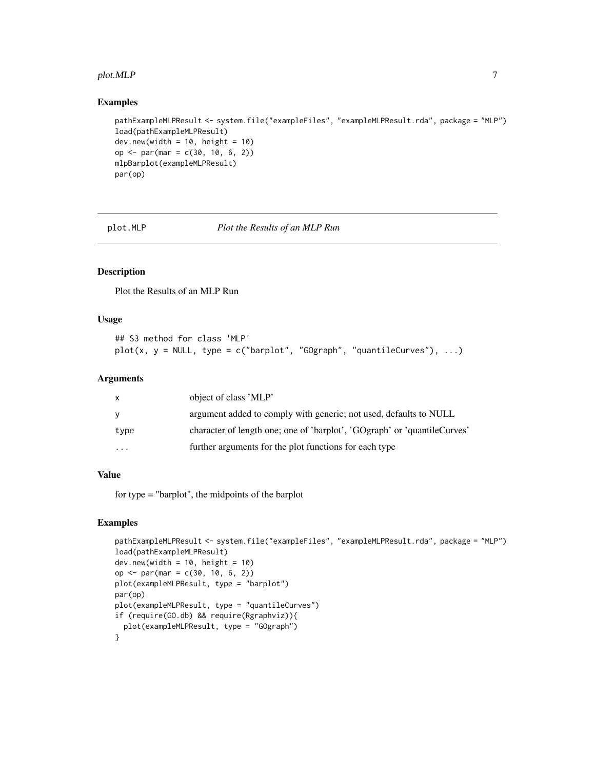#### <span id="page-6-0"></span>plot.MLP  $\qquad \qquad \qquad$  7

#### Examples

```
pathExampleMLPResult <- system.file("exampleFiles", "exampleMLPResult.rda", package = "MLP")
load(pathExampleMLPResult)
dev.new(width = 10, height = 10)
op <- par(mar = c(30, 10, 6, 2))
mlpBarplot(exampleMLPResult)
par(op)
```
plot.MLP *Plot the Results of an MLP Run*

# Description

Plot the Results of an MLP Run

#### Usage

```
## S3 method for class 'MLP'
plot(x, y = NULL, type = c("barplot", "GOgraph", "quantileCurves"), ...)
```
#### Arguments

| x        | object of class 'MLP'                                                    |
|----------|--------------------------------------------------------------------------|
| y        | argument added to comply with generic; not used, defaults to NULL        |
| type     | character of length one; one of 'barplot', 'GOgraph' or 'quantileCurves' |
| $\cdots$ | further arguments for the plot functions for each type                   |

#### Value

for type = "barplot", the midpoints of the barplot

```
pathExampleMLPResult <- system.file("exampleFiles", "exampleMLPResult.rda", package = "MLP")
load(pathExampleMLPResult)
dev.new(width = 10, height = 10)
op <- par(mar = c(30, 10, 6, 2))
plot(exampleMLPResult, type = "barplot")
par(op)
plot(exampleMLPResult, type = "quantileCurves")
if (require(GO.db) && require(Rgraphviz)){
  plot(exampleMLPResult, type = "GOgraph")
}
```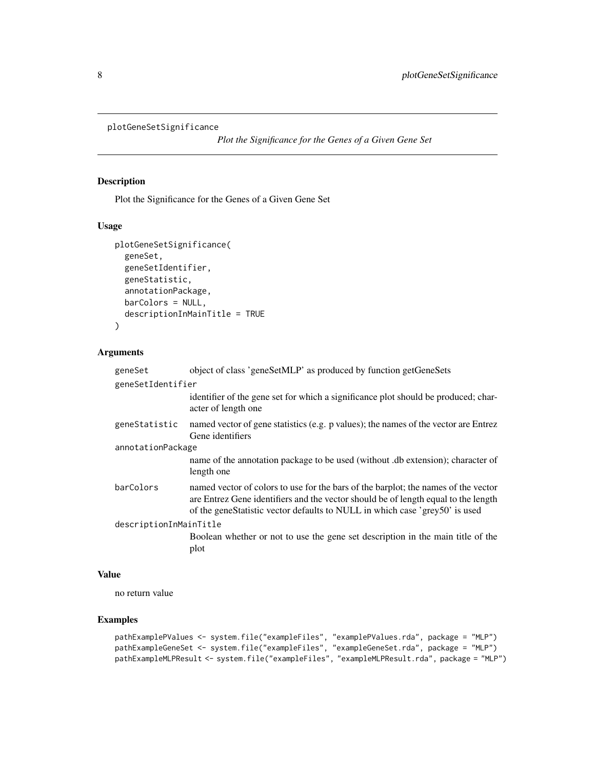```
plotGeneSetSignificance
```
*Plot the Significance for the Genes of a Given Gene Set*

# Description

Plot the Significance for the Genes of a Given Gene Set

# Usage

```
plotGeneSetSignificance(
  geneSet,
  geneSetIdentifier,
  geneStatistic,
  annotationPackage,
  barColors = NULL,
  descriptionInMainTitle = TRUE
)
```
# Arguments

| geneSet                | object of class 'geneSetMLP' as produced by function getGeneSets                                                                                                                                                                                        |  |
|------------------------|---------------------------------------------------------------------------------------------------------------------------------------------------------------------------------------------------------------------------------------------------------|--|
| geneSetIdentifier      |                                                                                                                                                                                                                                                         |  |
|                        | identifier of the gene set for which a significance plot should be produced; char-<br>acter of length one                                                                                                                                               |  |
| geneStatistic          | named vector of gene statistics (e.g. p values); the names of the vector are Entrez<br>Gene identifiers                                                                                                                                                 |  |
| annotationPackage      |                                                                                                                                                                                                                                                         |  |
|                        | name of the annotation package to be used (without .db extension); character of<br>length one                                                                                                                                                           |  |
| barColors              | named vector of colors to use for the bars of the barplot; the names of the vector<br>are Entrez Gene identifiers and the vector should be of length equal to the length<br>of the geneStatistic vector defaults to NULL in which case 'grey50' is used |  |
| descriptionInMainTitle |                                                                                                                                                                                                                                                         |  |
|                        | Boolean whether or not to use the gene set description in the main title of the                                                                                                                                                                         |  |
|                        | plot                                                                                                                                                                                                                                                    |  |

#### Value

no return value

```
pathExamplePValues <- system.file("exampleFiles", "examplePValues.rda", package = "MLP")
pathExampleGeneSet <- system.file("exampleFiles", "exampleGeneSet.rda", package = "MLP")
pathExampleMLPResult <- system.file("exampleFiles", "exampleMLPResult.rda", package = "MLP")
```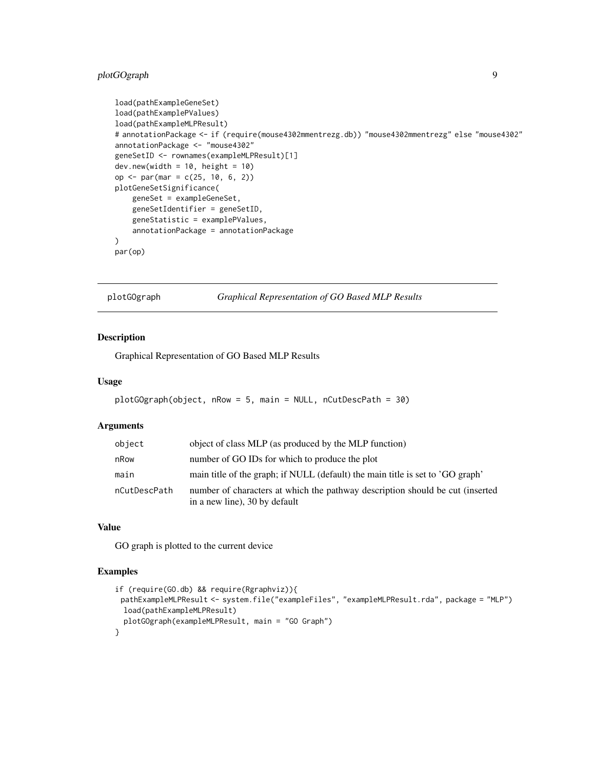# <span id="page-8-0"></span>plotGOgraph 9

```
load(pathExampleGeneSet)
load(pathExamplePValues)
load(pathExampleMLPResult)
# annotationPackage <- if (require(mouse4302mmentrezg.db)) "mouse4302mmentrezg" else "mouse4302"
annotationPackage <- "mouse4302"
geneSetID <- rownames(exampleMLPResult)[1]
dev.new(width = 10, height = 10)
op <- par(mar = c(25, 10, 6, 2))
plotGeneSetSignificance(
    geneSet = exampleGeneSet,
   geneSetIdentifier = geneSetID,
   geneStatistic = examplePValues,
    annotationPackage = annotationPackage
)
par(op)
```
plotGOgraph *Graphical Representation of GO Based MLP Results*

# Description

Graphical Representation of GO Based MLP Results

#### Usage

```
plotGOgraph(object, nRow = 5, main = NULL, nCutDescPath = 30)
```
#### **Arguments**

| object       | object of class MLP (as produced by the MLP function)                                                          |
|--------------|----------------------------------------------------------------------------------------------------------------|
| nRow         | number of GO IDs for which to produce the plot                                                                 |
| main         | main title of the graph; if NULL (default) the main title is set to 'GO graph'                                 |
| nCutDescPath | number of characters at which the pathway description should be cut (inserted<br>in a new line), 30 by default |

#### Value

GO graph is plotted to the current device

```
if (require(GO.db) && require(Rgraphviz)){
 pathExampleMLPResult <- system.file("exampleFiles", "exampleMLPResult.rda", package = "MLP")
 load(pathExampleMLPResult)
 plotGOgraph(exampleMLPResult, main = "GO Graph")
}
```